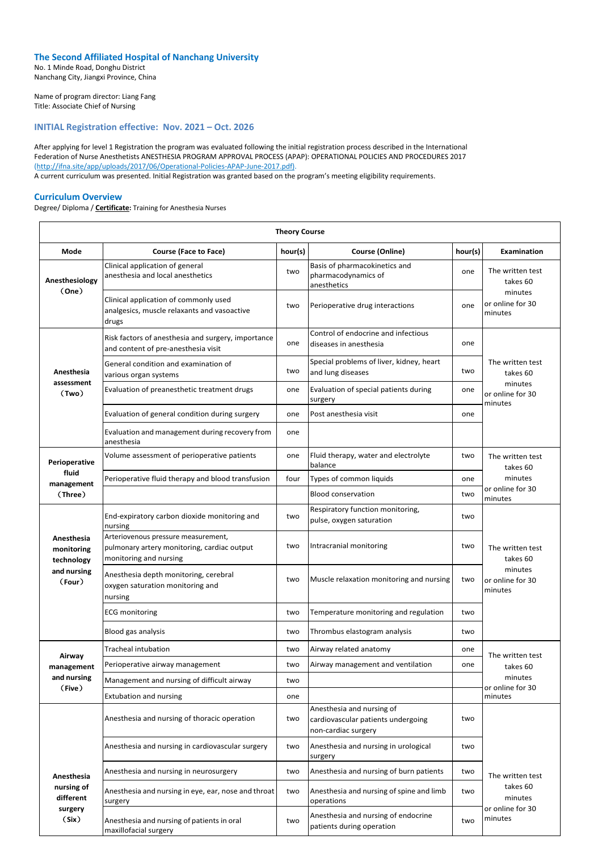## **The Second Affiliated Hospital of Nanchang University**

No. 1 Minde Road, Donghu District Nanchang City, Jiangxi Province, China

Name of program director: Liang Fang Title: Associate Chief of Nursing

## **INITIAL Registration effective: Nov. 2021 – Oct. 2026**

After applying for level 1 Registration the program was evaluated following the initial registration process described in the International Federation of Nurse Anesthetists ANESTHESIA PROGRAM APPROVAL PROCESS (APAP): OPERATIONAL POLICIES AND PROCEDURES 2017 (http://ifna.site/app/uploads/2017/06/Operational-Policies-APAP-June-2017.pdf). A current curriculum was presented. Initial Registration was granted based on the program's meeting eligibility requirements.

## **Curriculum Overview**

Degree/ Diploma / **Certificate:** Training for Anesthesia Nurses

| <b>Theory Course</b>                                            |                                                                                                              |         |                                                                                        |         |                                                                        |  |  |
|-----------------------------------------------------------------|--------------------------------------------------------------------------------------------------------------|---------|----------------------------------------------------------------------------------------|---------|------------------------------------------------------------------------|--|--|
| <b>Mode</b>                                                     | <b>Course (Face to Face)</b>                                                                                 | hour(s) | <b>Course (Online)</b>                                                                 | hour(s) | Examination                                                            |  |  |
| Anesthesiology<br>(One)                                         | Clinical application of general<br>anesthesia and local anesthetics                                          | two     | Basis of pharmacokinetics and<br>pharmacodynamics of<br>anesthetics                    | one     | The written test<br>takes 60                                           |  |  |
|                                                                 | Clinical application of commonly used<br>analgesics, muscle relaxants and vasoactive<br>drugs                | two     | Perioperative drug interactions                                                        | one     | minutes<br>or online for 30<br>minutes                                 |  |  |
| Anesthesia<br>assessment<br>(Two)                               | Risk factors of anesthesia and surgery, importance<br>and content of pre-anesthesia visit                    | one     | Control of endocrine and infectious<br>diseases in anesthesia                          | one     |                                                                        |  |  |
|                                                                 | General condition and examination of<br>various organ systems                                                | two     | Special problems of liver, kidney, heart<br>and lung diseases                          | two     | The written test<br>takes 60<br>minutes<br>or online for 30<br>minutes |  |  |
|                                                                 | Evaluation of preanesthetic treatment drugs                                                                  | one     | Evaluation of special patients during<br>surgery                                       | one     |                                                                        |  |  |
|                                                                 | Evaluation of general condition during surgery                                                               | one     | Post anesthesia visit                                                                  | one     |                                                                        |  |  |
|                                                                 | Evaluation and management during recovery from<br>anesthesia                                                 | one     |                                                                                        |         |                                                                        |  |  |
| Perioperative                                                   | Volume assessment of perioperative patients                                                                  | one     | Fluid therapy, water and electrolyte<br>balance                                        | two     | The written test<br>takes 60                                           |  |  |
| fluid<br>management                                             | Perioperative fluid therapy and blood transfusion                                                            | four    | Types of common liquids                                                                | one     | minutes                                                                |  |  |
| (Three)                                                         |                                                                                                              |         | <b>Blood conservation</b>                                                              | two     | or online for 30<br>minutes                                            |  |  |
| Anesthesia<br>monitoring<br>technology<br>and nursing<br>(Four) | End-expiratory carbon dioxide monitoring and<br>nursing                                                      | two     | Respiratory function monitoring,<br>pulse, oxygen saturation                           | two     |                                                                        |  |  |
|                                                                 | Arteriovenous pressure measurement,<br>pulmonary artery monitoring, cardiac output<br>monitoring and nursing | two     | Intracranial monitoring                                                                | two     | The written test<br>takes 60                                           |  |  |
|                                                                 | Anesthesia depth monitoring, cerebral<br>oxygen saturation monitoring and<br>nursing                         | two     | Muscle relaxation monitoring and nursing                                               | two     | minutes<br>or online for 30<br>minutes                                 |  |  |
|                                                                 | <b>ECG</b> monitoring                                                                                        | two     | Temperature monitoring and regulation                                                  | two     |                                                                        |  |  |
|                                                                 | Blood gas analysis                                                                                           | two     | Thrombus elastogram analysis                                                           | two     |                                                                        |  |  |
| Airway                                                          | <b>Tracheal intubation</b>                                                                                   | two     | Airway related anatomy                                                                 | one     | The written test                                                       |  |  |
| management                                                      | Perioperative airway management                                                                              | two     | Airway management and ventilation                                                      | one     | takes 60                                                               |  |  |
| and nursing<br>(Five)                                           | Management and nursing of difficult airway                                                                   | two     |                                                                                        |         | minutes<br>or online for 30                                            |  |  |
|                                                                 | <b>Extubation and nursing</b>                                                                                | one     |                                                                                        |         | minutes                                                                |  |  |
|                                                                 | Anesthesia and nursing of thoracic operation                                                                 | two     | Anesthesia and nursing of<br>cardiovascular patients undergoing<br>non-cardiac surgery | two     |                                                                        |  |  |
| Anesthesia<br>nursing of<br>different<br>surgery<br>(Six)       | Anesthesia and nursing in cardiovascular surgery                                                             | two     | Anesthesia and nursing in urological<br>surgery                                        | two     |                                                                        |  |  |
|                                                                 | Anesthesia and nursing in neurosurgery                                                                       | two     | Anesthesia and nursing of burn patients                                                | two     | The written test                                                       |  |  |
|                                                                 | Anesthesia and nursing in eye, ear, nose and throat<br>surgery                                               | two     | Anesthesia and nursing of spine and limb<br>operations                                 | two     | takes 60<br>minutes<br>or online for 30<br>minutes                     |  |  |
|                                                                 | Anesthesia and nursing of patients in oral<br>maxillofacial surgery                                          | two     | Anesthesia and nursing of endocrine<br>patients during operation                       | two     |                                                                        |  |  |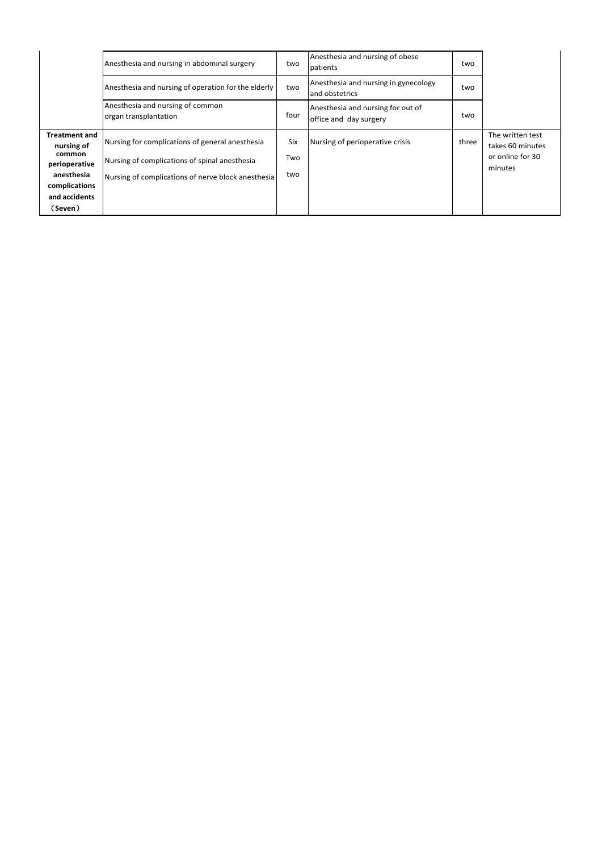|                                                               | Anesthesia and nursing in abdominal surgery                                                      | two        | Anesthesia and nursing of obese<br>patients                 | two   |                                                                     |
|---------------------------------------------------------------|--------------------------------------------------------------------------------------------------|------------|-------------------------------------------------------------|-------|---------------------------------------------------------------------|
|                                                               | Anesthesia and nursing of operation for the elderly                                              | two        | Anesthesia and nursing in gynecology<br>and obstetrics      | two   |                                                                     |
|                                                               | Anesthesia and nursing of common<br>organ transplantation                                        | four       | Anesthesia and nursing for out of<br>office and day surgery | two   |                                                                     |
| <b>Treatment and</b><br>nursing of<br>common<br>perioperative | Nursing for complications of general anesthesia<br>Nursing of complications of spinal anesthesia | Six<br>Two | Nursing of perioperative crisis                             | three | The written test<br>takes 60 minutes<br>or online for 30<br>minutes |
| anesthesia<br>complications<br>and accidents                  | Nursing of complications of nerve block anesthesia                                               | two        |                                                             |       |                                                                     |
| (Seven)                                                       |                                                                                                  |            |                                                             |       |                                                                     |